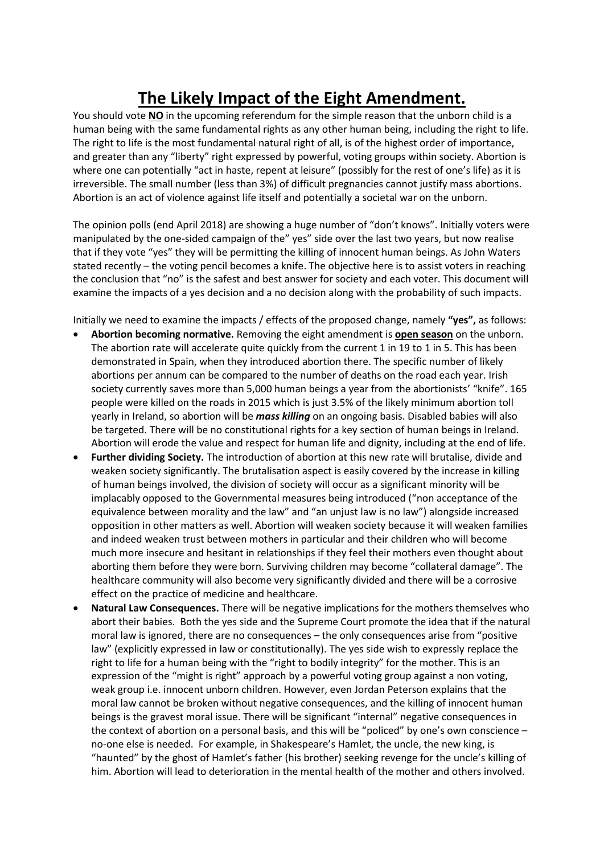## **The Likely Impact of the Eight Amendment.**

You should vote **NO** in the upcoming referendum for the simple reason that the unborn child is a human being with the same fundamental rights as any other human being, including the right to life. The right to life is the most fundamental natural right of all, is of the highest order of importance, and greater than any "liberty" right expressed by powerful, voting groups within society. Abortion is where one can potentially "act in haste, repent at leisure" (possibly for the rest of one's life) as it is irreversible. The small number (less than 3%) of difficult pregnancies cannot justify mass abortions. Abortion is an act of violence against life itself and potentially a societal war on the unborn.

The opinion polls (end April 2018) are showing a huge number of "don't knows". Initially voters were manipulated by the one-sided campaign of the" yes" side over the last two years, but now realise that if they vote "yes" they will be permitting the killing of innocent human beings. As John Waters stated recently – the voting pencil becomes a knife. The objective here is to assist voters in reaching the conclusion that "no" is the safest and best answer for society and each voter. This document will examine the impacts of a yes decision and a no decision along with the probability of such impacts.

Initially we need to examine the impacts / effects of the proposed change, namely **"yes",** as follows:

- **Abortion becoming normative.** Removing the eight amendment is **open season** on the unborn. The abortion rate will accelerate quite quickly from the current 1 in 19 to 1 in 5. This has been demonstrated in Spain, when they introduced abortion there. The specific number of likely abortions per annum can be compared to the number of deaths on the road each year. Irish society currently saves more than 5,000 human beings a year from the abortionists' "knife". 165 people were killed on the roads in 2015 which is just 3.5% of the likely minimum abortion toll yearly in Ireland, so abortion will be *mass killing* on an ongoing basis. Disabled babies will also be targeted. There will be no constitutional rights for a key section of human beings in Ireland. Abortion will erode the value and respect for human life and dignity, including at the end of life.
- **Further dividing Society.** The introduction of abortion at this new rate will brutalise, divide and weaken society significantly. The brutalisation aspect is easily covered by the increase in killing of human beings involved, the division of society will occur as a significant minority will be implacably opposed to the Governmental measures being introduced ("non acceptance of the equivalence between morality and the law" and "an unjust law is no law") alongside increased opposition in other matters as well. Abortion will weaken society because it will weaken families and indeed weaken trust between mothers in particular and their children who will become much more insecure and hesitant in relationships if they feel their mothers even thought about aborting them before they were born. Surviving children may become "collateral damage". The healthcare community will also become very significantly divided and there will be a corrosive effect on the practice of medicine and healthcare.
- **Natural Law Consequences.** There will be negative implications for the mothers themselves who abort their babies. Both the yes side and the Supreme Court promote the idea that if the natural moral law is ignored, there are no consequences – the only consequences arise from "positive law" (explicitly expressed in law or constitutionally). The yes side wish to expressly replace the right to life for a human being with the "right to bodily integrity" for the mother. This is an expression of the "might is right" approach by a powerful voting group against a non voting, weak group i.e. innocent unborn children. However, even Jordan Peterson explains that the moral law cannot be broken without negative consequences, and the killing of innocent human beings is the gravest moral issue. There will be significant "internal" negative consequences in the context of abortion on a personal basis, and this will be "policed" by one's own conscience – no-one else is needed. For example, in Shakespeare's Hamlet, the uncle, the new king, is "haunted" by the ghost of Hamlet's father (his brother) seeking revenge for the uncle's killing of him. Abortion will lead to deterioration in the mental health of the mother and others involved.